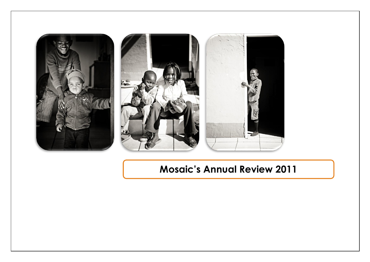

# **Mosaic's Annual Review 2011**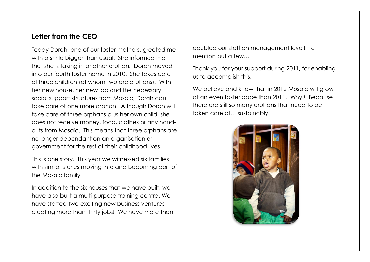## **Letter from the CEO**

Today Dorah, one of our foster mothers, greeted me with a smile bigger than usual. She informed me that she is taking in another orphan. Dorah moved into our fourth foster home in 2010. She takes care of three children (of whom two are orphans). With her new house, her new job and the necessary social support structures from Mosaic, Dorah can take care of one more orphan! Although Dorah will take care of three orphans plus her own child, she does not receive money, food, clothes or any handouts from Mosaic. This means that three orphans are no longer dependant on an organisation or government for the rest of their childhood lives.

This is one story. This year we witnessed six families with similar stories moving into and becoming part of the Mosaic family!

In addition to the six houses that we have built, we have also built a multi-purpose training centre. We have started two exciting new business ventures creating more than thirty jobs! We have more than

doubled our staff on management level! To mention but a few…

Thank you for your support during 2011, for enabling us to accomplish this!

We believe and know that in 2012 Mosaic will grow at an even faster pace than 2011. Why? Because there are still so many orphans that need to be taken care of… sustainably!

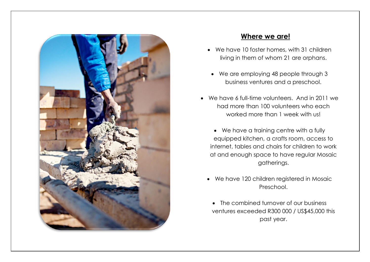

## **Where we are!**

- We have 10 foster homes, with 31 children living in them of whom 21 are orphans.
- We are employing 48 people through 3 business ventures and a preschool.
- We have 6 full-time volunteers. And in 2011 we had more than 100 volunteers who each worked more than 1 week with us!
	- We have a training centre with a fully equipped kitchen, a crafts room, access to internet, tables and chairs for children to work at and enough space to have regular Mosaic gatherings.
	- We have 120 children registered in Mosaic Preschool.
		- The combined turnover of our business ventures exceeded R300 000 / US\$45,000 this past year.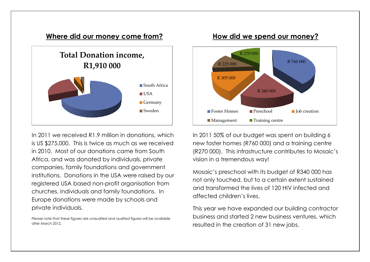#### **Where did our money come from?**



In 2011 we received R1.9 million in donations, which is US \$275,000. This is twice as much as we received in 2010. Most of our donations came from South Africa, and was donated by individuals, private companies, family foundations and government institutions. Donations in the USA were raised by our registered USA based non-profit organisation from churches, individuals and family foundations. In Europe donations were made by schools and private individuals.

Please note that these figures are unaudited and audited figures will be available after March 2012.

#### **How did we spend our money?**



In 2011 50% of our budget was spent on building 6 new foster homes (R760 000) and a training centre (R270 000). This infrastructure contributes to Mosaic's vision in a tremendous way!

Mosaic's preschool with its budget of R340 000 has not only touched, but to a certain extent sustained and transformed the lives of 120 HIV infected and affected children's lives.

This year we have expanded our building contractor business and started 2 new business ventures, which resulted in the creation of 31 new jobs.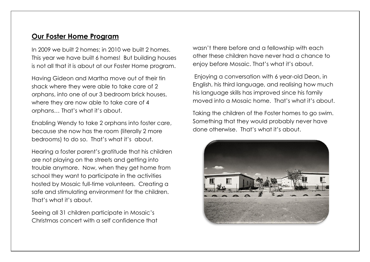## **Our Foster Home Program**

In 2009 we built 2 homes; in 2010 we built 2 homes. This year we have built 6 homes! But building houses is not all that it is about at our Foster Home program.

Having Gideon and Martha move out of their tin shack where they were able to take care of 2 orphans, into one of our 3 bedroom brick houses, where they are now able to take care of 4 orphans… That's what it's about.

Enabling Wendy to take 2 orphans into foster care, because she now has the room (literally 2 more bedrooms) to do so. That's what it's about.

Hearing a foster parent's gratitude that his children are not playing on the streets and getting into trouble anymore. Now, when they get home from school they want to participate in the activities hosted by Mosaic full-time volunteers. Creating a safe and stimulating environment for the children. That's what it's about.

Seeing all 31 children participate in Mosaic's Christmas concert with a self confidence that wasn't there before and a fellowship with each other these children have never had a chance to enjoy before Mosaic. That's what it's about.

Enjoying a conversation with 6 year-old Deon, in English, his third language, and realising how much his language skills has improved since his family moved into a Mosaic home. That's what it's about.

Taking the children of the Foster homes to go swim. Something that they would probably never have done otherwise. That's what it's about.

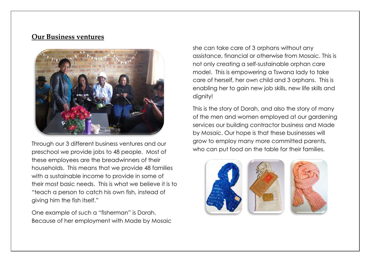### **Our Business ventures**



Through our 3 different business ventures and our preschool we provide jobs to 48 people. Most of these employees are the breadwinners of their households. This means that we provide 48 families with a sustainable income to provide in some of their most basic needs. This is what we believe it is to "teach a person to catch his own fish, instead of giving him the fish itself."

One example of such a "fisherman" is Dorah. Because of her employment with Made by Mosaic she can take care of 3 orphans without any assistance, financial or otherwise from Mosaic. This is not only creating a self-sustainable orphan care model. This is empowering a Tswana lady to take care of herself, her own child and 3 orphans. This is enabling her to gain new job skills, new life skills and dignity!

This is the story of Dorah, and also the story of many of the men and women employed at our gardening services our building contractor business and Made by Mosaic. Our hope is that these businesses will grow to employ many more committed parents, who can put food on the table for their families.